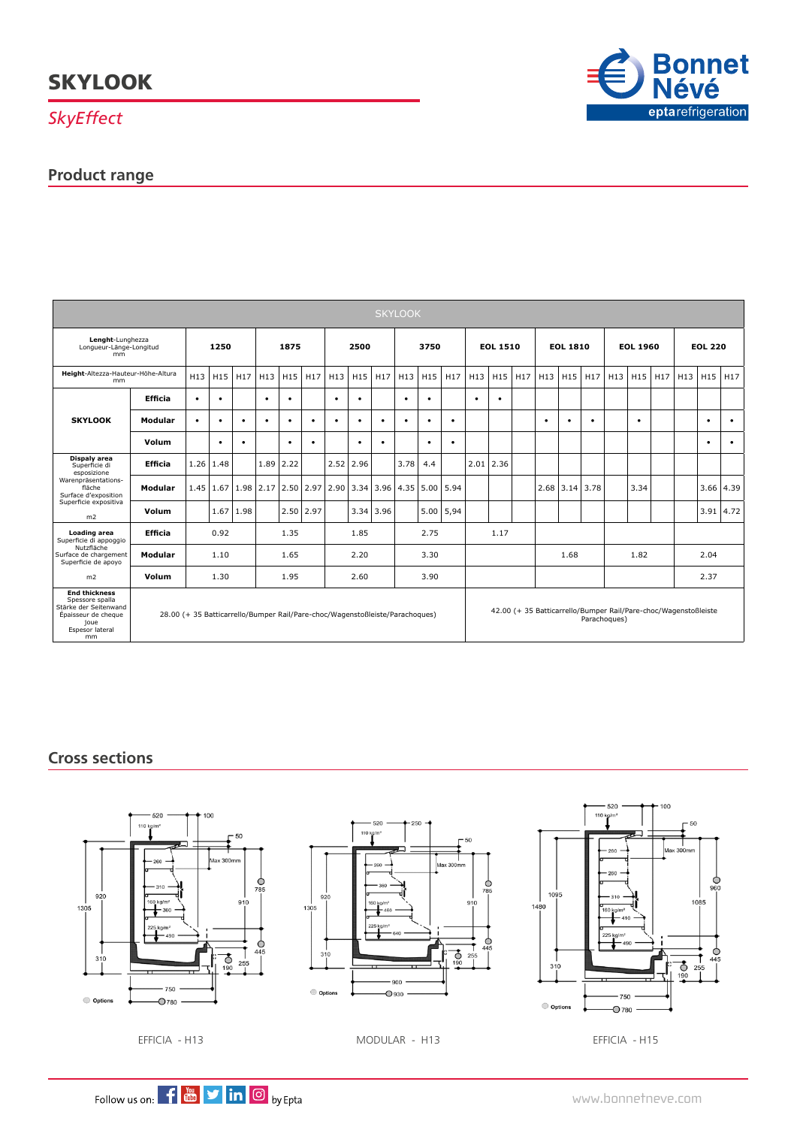*SkyEffect*

### **Product range**



| <b>SKYLOOK</b>                                                                                                                                   |                                                                              |           |           |                 |                 |           |                 |                                                |                 |                  |           |             |                                                                                 |                 |                                 |  |                 |                  |           |                 |           |      |                |           |                       |  |
|--------------------------------------------------------------------------------------------------------------------------------------------------|------------------------------------------------------------------------------|-----------|-----------|-----------------|-----------------|-----------|-----------------|------------------------------------------------|-----------------|------------------|-----------|-------------|---------------------------------------------------------------------------------|-----------------|---------------------------------|--|-----------------|------------------|-----------|-----------------|-----------|------|----------------|-----------|-----------------------|--|
| Lenght-Lunghezza<br>Lonqueur-Länge-Longitud<br>mm                                                                                                |                                                                              | 1250      |           |                 | 1875            |           |                 | 2500                                           |                 |                  | 3750      |             |                                                                                 | <b>EOL 1510</b> |                                 |  | <b>EOL 1810</b> |                  |           | <b>EOL 1960</b> |           |      | <b>EOL 220</b> |           |                       |  |
| Height-Altezza-Hauteur-Höhe-Altura<br>mm                                                                                                         |                                                                              | H13       | H15       | H <sub>17</sub> | H <sub>13</sub> | H15       | H <sub>17</sub> | H13                                            | H <sub>15</sub> | H17              |           | $H13$ $H15$ | H <sub>17</sub>                                                                 | H13             | H <sub>15</sub> H <sub>17</sub> |  | H <sub>13</sub> | H15              | H17       | H13             | H15       | H17  | H13 H15        |           | H17                   |  |
| <b>SKYLOOK</b>                                                                                                                                   | <b>Efficia</b>                                                               | $\bullet$ | $\bullet$ |                 | $\bullet$       | $\bullet$ |                 | $\bullet$                                      | $\bullet$       |                  | $\bullet$ | ٠           |                                                                                 | $\bullet$       | $\bullet$                       |  |                 |                  |           |                 |           |      |                |           |                       |  |
|                                                                                                                                                  | Modular                                                                      | $\bullet$ | $\bullet$ | $\bullet$       | $\bullet$       | ٠         | $\bullet$       | ٠                                              | $\bullet$       |                  | ٠         | ٠           | $\bullet$                                                                       |                 |                                 |  | $\bullet$       | ٠                | $\bullet$ |                 | $\bullet$ |      |                | ٠         | ٠                     |  |
|                                                                                                                                                  | Volum                                                                        |           | $\bullet$ | $\bullet$       |                 | ٠         | $\bullet$       |                                                | $\bullet$       | ٠                |           | ٠           | $\bullet$                                                                       |                 |                                 |  |                 |                  |           |                 |           |      |                | $\bullet$ | $\bullet$             |  |
| Dispaly area<br>Superficie di<br>esposizione<br>Warenpräsentations-<br>fläche<br>Surface d'exposition<br>Superficie expositiva<br>m <sub>2</sub> | <b>Efficia</b>                                                               |           | 1.26 1.48 |                 | $1.89$ 2.22     |           |                 | 2.52                                           | 2.96            |                  | 3.78      | 4.4         |                                                                                 |                 | $2.01$ 2.36                     |  |                 |                  |           |                 |           |      |                |           |                       |  |
|                                                                                                                                                  | Modular                                                                      |           |           |                 |                 |           |                 | 1.45   1.67   1.98   2.17   2.50   2.97   2.90 |                 | $3.34$ 3.96 4.35 |           | 5.00        | 5.94                                                                            |                 |                                 |  |                 | $2.68$ 3.14 3.78 |           |                 | 3.34      |      |                |           | $3.66$ 4.39           |  |
|                                                                                                                                                  | Volum                                                                        |           |           | $1.67$   1.98   |                 |           | $2.50$ 2.97     |                                                |                 | 3.34 3.96        |           | 5.00        | 5,94                                                                            |                 |                                 |  |                 |                  |           |                 |           |      |                |           | $3.91 \mid 4.72 \mid$ |  |
| Loading area<br>Superficie di appoggio<br>Nutzfläche<br>Surface de chargement<br>Superficie de apoyo                                             | <b>Efficia</b>                                                               | 0.92      |           |                 | 1.35            |           |                 | 1.85                                           |                 |                  | 2.75      |             |                                                                                 | 1.17            |                                 |  |                 |                  |           |                 |           |      |                |           |                       |  |
|                                                                                                                                                  | Modular                                                                      | 1.10      |           |                 | 1.65            |           |                 | 2.20                                           |                 |                  | 3.30      |             |                                                                                 |                 |                                 |  | 1.68            |                  |           | 1.82            |           | 2.04 |                |           |                       |  |
| m <sub>2</sub>                                                                                                                                   | Volum<br>1.30                                                                |           |           |                 | 1.95            |           |                 | 2.60                                           |                 |                  | 3.90      |             |                                                                                 |                 |                                 |  |                 |                  |           |                 |           |      |                | 2.37      |                       |  |
| <b>End thickness</b><br>Spessore spalla<br>Stärke der Seitenwand<br>Épaisseur de cheque<br>joue<br>Espesor lateral<br>mm                         | 28.00 (+ 35 Batticarrello/Bumper Rail/Pare-choc/Wagenstoßleiste/Parachoques) |           |           |                 |                 |           |                 |                                                |                 |                  |           |             | 42.00 (+ 35 Batticarrello/Bumper Rail/Pare-choc/Wagenstoßleiste<br>Parachoques) |                 |                                 |  |                 |                  |           |                 |           |      |                |           |                       |  |

### **Cross sections**







EFFICIA - H13 MODULAR - H13 EFFICIA - H15